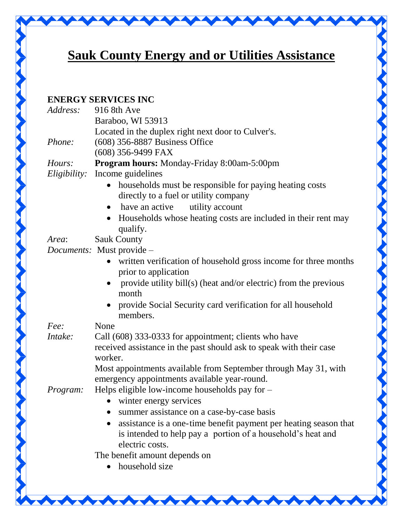

## **Sauk County Energy and or Utilities Assistance**

## **ENERGY SERVICES INC**

| Address:     | 916 8th Ave                                                                  |
|--------------|------------------------------------------------------------------------------|
|              | Baraboo, WI 53913                                                            |
|              | Located in the duplex right next door to Culver's.                           |
| Phone:       | (608) 356-8887 Business Office                                               |
|              | $(608)$ 356-9499 FAX                                                         |
| Hours:       | <b>Program hours:</b> Monday-Friday 8:00am-5:00pm                            |
| Eligibility: | Income guidelines                                                            |
|              | households must be responsible for paying heating costs                      |
|              | directly to a fuel or utility company                                        |
|              | have an active<br>utility account<br>$\bullet$                               |
|              | Households whose heating costs are included in their rent may<br>$\bullet$   |
|              | qualify.                                                                     |
| Area:        | <b>Sauk County</b>                                                           |
|              | Documents: Must provide -                                                    |
|              | written verification of household gross income for three months<br>$\bullet$ |
|              | prior to application                                                         |
|              | provide utility bill(s) (heat and/or electric) from the previous             |
|              | month                                                                        |
|              | provide Social Security card verification for all household                  |
|              | members.                                                                     |
| Fee:         | None                                                                         |
| Intake:      | Call (608) 333-0333 for appointment; clients who have                        |
|              | received assistance in the past should ask to speak with their case          |
|              | worker.                                                                      |
|              | Most appointments available from September through May 31, with              |
|              | emergency appointments available year-round.                                 |
| Program:     | Helps eligible low-income households pay for -                               |
|              | • winter energy services                                                     |
|              | summer assistance on a case-by-case basis                                    |
|              | assistance is a one-time benefit payment per heating season that             |
|              | is intended to help pay a portion of a household's heat and                  |
|              | electric costs.                                                              |
|              | The benefit amount depends on                                                |
|              | household size                                                               |
|              |                                                                              |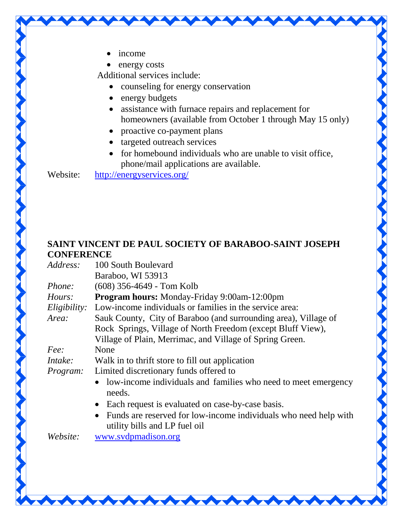- income
- energy costs

Additional services include:

- counseling for energy conservation
- energy budgets
- assistance with furnace repairs and replacement for homeowners (available from October 1 through May 15 only)
- proactive co-payment plans
- targeted outreach services
- for homebound individuals who are unable to visit office, phone/mail applications are available.

Website: <http://energyservices.org/>

## **SAINT VINCENT DE PAUL SOCIETY OF BARABOO-SAINT JOSEPH CONFERENCE**

| 100 South Boulevard                                                                               |
|---------------------------------------------------------------------------------------------------|
| Baraboo, WI 53913                                                                                 |
| $(608)$ 356-4649 - Tom Kolb                                                                       |
| <b>Program hours:</b> Monday-Friday 9:00am-12:00pm                                                |
| Low-income individuals or families in the service area:                                           |
| Sauk County, City of Baraboo (and surrounding area), Village of                                   |
| Rock Springs, Village of North Freedom (except Bluff View),                                       |
| Village of Plain, Merrimac, and Village of Spring Green.                                          |
| None                                                                                              |
| Walk in to thrift store to fill out application                                                   |
| Limited discretionary funds offered to                                                            |
| • low-income individuals and families who need to meet emergency<br>needs.                        |
| Each request is evaluated on case-by-case basis.<br>$\bullet$                                     |
| Funds are reserved for low-income individuals who need help with<br>utility bills and LP fuel oil |
| www.svdpmadison.org                                                                               |
|                                                                                                   |